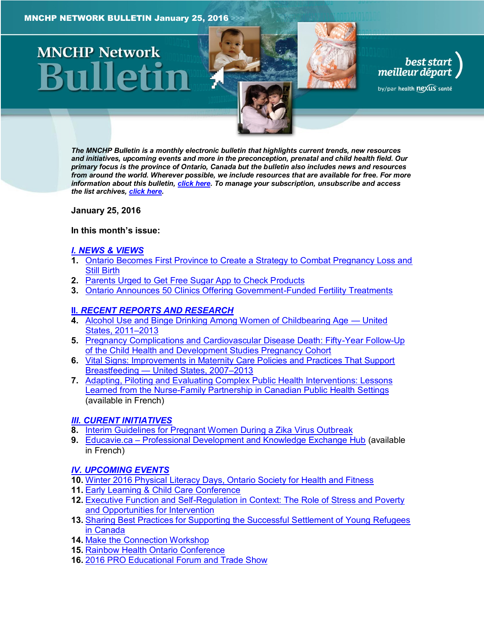# **MNCHP Network**



by/par health nexus santé

*The MNCHP Bulletin is a monthly electronic bulletin that highlights current trends, new resources and initiatives, upcoming events and more in the preconception, prenatal and child health field. Our primary focus is the province of Ontario, Canada but the bulletin also includes news and resources from around the world. Wherever possible, we include resources that are available for free. For more information about this bulletin, [click here.](#page-12-0) To manage your subscription, unsubscribe and access the list archives, [click here.](http://en.beststart.org/services/information-exchange)* 

<span id="page-0-0"></span>**January 25, 2016**

**In this month's issue:**

#### *[I. NEWS & VIEWS](#page-1-0)*

- **1.** [Ontario Becomes First Province to Create a Strategy to Combat Pregnancy Loss and](#page-1-1)  [Still Birth](#page-1-1)
- **2.** [Parents Urged to Get Free Sugar App to Check Products](#page-1-2)
- **3.** [Ontario Announces 50 Clinics Offering Government-Funded Fertility Treatments](#page-2-0)

## **II.** *[RECENT REPORTS AND RESEARCH](#page-2-1)*

- **4.** [Alcohol Use and Binge Drinking Among Women of Childbearing Age](#page-2-2) United [States, 2011](#page-2-2)–2013
- **5.** [Pregnancy Complications and Cardiovascular Disease Death: Fifty-Year Follow-Up](#page-3-0)  [of the Child Health and Development Studies Pregnancy Cohort](#page-3-0)
- **6.** Vital [Signs: Improvements in Maternity Care Policies and Practices That Support](#page-4-0)  Breastfeeding — [United States, 2007](#page-4-0)–2013
- **7.** [Adapting, Piloting and Evaluating Complex Public Health Interventions: Lessons](#page-5-0)  [Learned from the Nurse-Family Partnership in Canadian Public Health Settings](#page-5-0) (available in French)

# *[III. CURENT INITIATIVES](#page-6-0)*

- **8.** [Interim Guidelines for Pregnant Women During a Zika Virus Outbreak](#page-6-1)
- **9.** Educavie.ca [Professional Development and Knowledge Exchange Hub](#page-6-2) (available in French)

# *[IV. UPCOMING EVENTS](#page-7-0)*

- **10.** [Winter 2016 Physical Literacy Days, Ontario Society for Health and Fitness](#page-7-1)
- **11.** [Early Learning & Child Care Conference](#page-7-2)
- **12.** [Executive Function and Self-Regulation in Context: The Role of Stress and Poverty](#page-8-0) [and Opportunities for Intervention](#page-8-0)
- **13.** [Sharing Best Practices for Supporting the Successful Settlement of Young Refugees](#page-8-1)  [in Canada](#page-8-1)
- **14.** [Make the Connection Workshop](#page-8-2)
- **15.** [Rainbow Health Ontario Conference](#page-8-3)
- **16.** [2016 PRO Educational Forum and Trade Show](#page-9-0)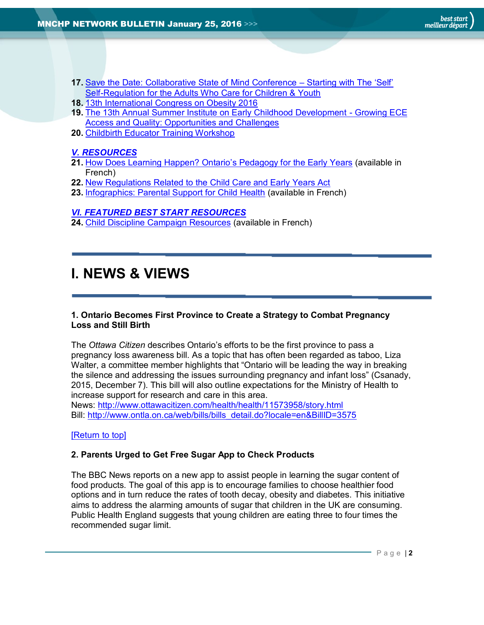- **17.** [Save the Date: Collaborative State of Mind Conference](#page-9-1)  Starting with The 'Self' [Self-Regulation for the Adults Who Care for Children & Youth](#page-9-1)
- **18.** [13th International Congress on Obesity 2016](#page-9-2)
- **19.** [The 13th Annual Summer Institute on Early Childhood Development -](#page-10-0) Growing ECE [Access and Quality: Opportunities and Challenges](#page-10-0)
- **20.** [Childbirth Educator Training Workshop](#page-10-1)

# *[V. RESOURCES](#page-10-2)*

- **21.** [How Does Learning Happen? Ontario'](#page-10-3)s Pedagogy for the Early Years (available in French)
- **22.** [New Regulations Related to the Child Care and Early Years Act](#page-10-4)
- **23.** [Infographics: Parental Support for Child Health](#page-11-0) (available in French)

# *[VI. FEATURED BEST START RESOURCES](#page-11-1)*

**24.** [Child Discipline Campaign Resources](#page-11-2) (available in French)

# <span id="page-1-0"></span>**I. NEWS & VIEWS**

# <span id="page-1-1"></span>**1. Ontario Becomes First Province to Create a Strategy to Combat Pregnancy Loss and Still Birth**

The *Ottawa Citizen* describes Ontario's efforts to be the first province to pass a pregnancy loss awareness bill. As a topic that has often been regarded as taboo, Liza Walter, a committee member highlights that "Ontario will be leading the way in breaking the silence and addressing the issues surrounding pregnancy and infant loss" (Csanady, 2015, December 7). This bill will also outline expectations for the Ministry of Health to increase support for research and care in this area.

News:<http://www.ottawacitizen.com/health/health/11573958/story.html> Bill: [http://www.ontla.on.ca/web/bills/bills\\_detail.do?locale=en&BillID=3575](http://www.ontla.on.ca/web/bills/bills_detail.do?locale=en&BillID=3575)

# [\[Return to top\]](#page-0-0)

# <span id="page-1-2"></span>**2. Parents Urged to Get Free Sugar App to Check Products**

The BBC News reports on a new app to assist people in learning the sugar content of food products. The goal of this app is to encourage families to choose healthier food options and in turn reduce the rates of tooth decay, obesity and diabetes. This initiative aims to address the alarming amounts of sugar that children in the UK are consuming. Public Health England suggests that young children are eating three to four times the recommended sugar limit.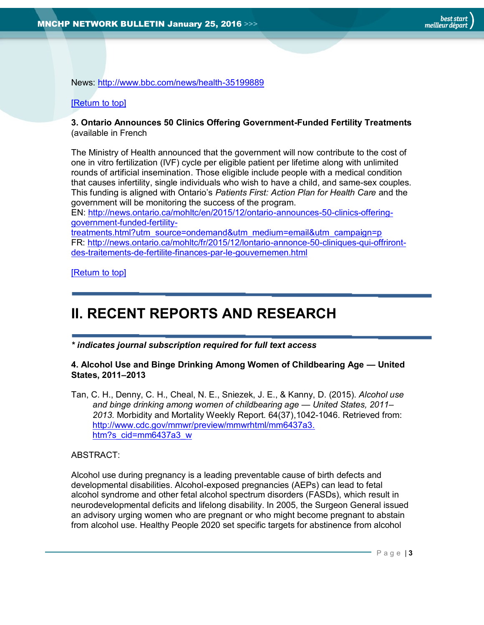News:<http://www.bbc.com/news/health-35199889>

# [\[Return to top\]](#page-0-0)

# <span id="page-2-0"></span>**3. Ontario Announces 50 Clinics Offering Government-Funded Fertility Treatments**  (available in French

The Ministry of Health announced that the government will now contribute to the cost of one in vitro fertilization (IVF) cycle per eligible patient per lifetime along with unlimited rounds of artificial insemination. Those eligible include people with a medical condition that causes infertility, single individuals who wish to have a child, and same-sex couples. This funding is aligned with Ontario's *Patients First: Action Plan for Health Care* and the government will be monitoring the success of the program.

EN: [http://news.ontario.ca/mohltc/en/2015/12/ontario-announces-50-clinics-offering](http://news.ontario.ca/mohltc/en/2015/12/ontario-announces-50-clinics-offering-government-funded-fertility-treatments.html?utm_source=ondemand&utm_medium=email&utm_campaign=p)[government-funded-fertility-](http://news.ontario.ca/mohltc/en/2015/12/ontario-announces-50-clinics-offering-government-funded-fertility-treatments.html?utm_source=ondemand&utm_medium=email&utm_campaign=p)

[treatments.html?utm\\_source=ondemand&utm\\_medium=email&utm\\_campaign=p](http://news.ontario.ca/mohltc/en/2015/12/ontario-announces-50-clinics-offering-government-funded-fertility-treatments.html?utm_source=ondemand&utm_medium=email&utm_campaign=p) FR: [http://news.ontario.ca/mohltc/fr/2015/12/lontario-annonce-50-cliniques-qui-offriront](http://news.ontario.ca/mohltc/fr/2015/12/lontario-annonce-50-cliniques-qui-offriront-des-traitements-de-fertilite-finances-par-le-gouvernemen.html)[des-traitements-de-fertilite-finances-par-le-gouvernemen.html](http://news.ontario.ca/mohltc/fr/2015/12/lontario-annonce-50-cliniques-qui-offriront-des-traitements-de-fertilite-finances-par-le-gouvernemen.html)

[\[Return to top\]](#page-0-0)

# <span id="page-2-1"></span>**II. RECENT REPORTS AND RESEARCH**

*\* indicates journal subscription required for full text access*

#### <span id="page-2-2"></span>**4. Alcohol Use and Binge Drinking Among Women of Childbearing Age — United States, 2011–2013**

Tan, C. H., Denny, C. H., Cheal, N. E., Sniezek, J. E., & Kanny, D. (2015). *Alcohol use and binge drinking among women of childbearing age — United States, 2011– 2013.* Morbidity and Mortality Weekly Report. 64(37),1042-1046. Retrieved from: [http://www.cdc.gov/mmwr/preview/mmwrhtml/mm6437a3.](http://www.cdc.gov/mmwr/preview/mmwrhtml/mm6437a3.htm?s_cid=mm6437a3_w) [htm?s\\_cid=mm6437a3\\_w](http://www.cdc.gov/mmwr/preview/mmwrhtml/mm6437a3.htm?s_cid=mm6437a3_w)

# ABSTRACT:

Alcohol use during pregnancy is a leading preventable cause of birth defects and developmental disabilities. Alcohol-exposed pregnancies (AEPs) can lead to fetal alcohol syndrome and other fetal alcohol spectrum disorders (FASDs), which result in neurodevelopmental deficits and lifelong disability. In 2005, the Surgeon General issued an advisory urging women who are pregnant or who might become pregnant to abstain from alcohol use. Healthy People 2020 set specific targets for abstinence from alcohol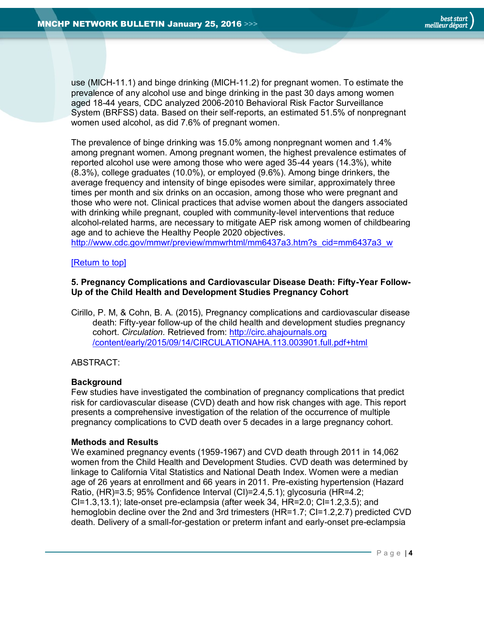best start<br>meilleur départ

use (MICH-11.1) and binge drinking (MICH-11.2) for pregnant women. To estimate the prevalence of any alcohol use and binge drinking in the past 30 days among women aged 18-44 years, CDC analyzed 2006-2010 Behavioral Risk Factor Surveillance System (BRFSS) data. Based on their self-reports, an estimated 51.5% of nonpregnant women used alcohol, as did 7.6% of pregnant women.

The prevalence of binge drinking was 15.0% among nonpregnant women and 1.4% among pregnant women. Among pregnant women, the highest prevalence estimates of reported alcohol use were among those who were aged 35-44 years (14.3%), white (8.3%), college graduates (10.0%), or employed (9.6%). Among binge drinkers, the average frequency and intensity of binge episodes were similar, approximately three times per month and six drinks on an occasion, among those who were pregnant and those who were not. Clinical practices that advise women about the dangers associated with drinking while pregnant, coupled with community-level interventions that reduce alcohol-related harms, are necessary to mitigate AEP risk among women of childbearing age and to achieve the Healthy People 2020 objectives.

[http://www.cdc.gov/mmwr/preview/mmwrhtml/mm6437a3.htm?s\\_cid=mm6437a3\\_w](http://www.cdc.gov/mmwr/preview/mmwrhtml/mm6437a3.htm?s_cid=mm6437a3_w)

#### [\[Return to top\]](#page-0-0)

## <span id="page-3-0"></span>**5. Pregnancy Complications and Cardiovascular Disease Death: Fifty-Year Follow-Up of the Child Health and Development Studies Pregnancy Cohort**

Cirillo, P. M, & Cohn, B. A. (2015), Pregnancy complications and cardiovascular disease death: Fifty-year follow-up of the child health and development studies pregnancy cohort. *Circulation.* Retrieved from: [http://circ.ahajournals.org](http://circ.ahajournals.org/content/early/2015/09/14/CIRCULATIONAHA.113.003901.full.pdf+html) [/content/early/2015/09/14/CIRCULATIONAHA.113.003901.full.pdf+html](http://circ.ahajournals.org/content/early/2015/09/14/CIRCULATIONAHA.113.003901.full.pdf+html)

# ABSTRACT:

# **Background**

Few studies have investigated the combination of pregnancy complications that predict risk for cardiovascular disease (CVD) death and how risk changes with age. This report presents a comprehensive investigation of the relation of the occurrence of multiple pregnancy complications to CVD death over 5 decades in a large pregnancy cohort.

# **Methods and Results**

We examined pregnancy events (1959-1967) and CVD death through 2011 in 14,062 women from the Child Health and Development Studies. CVD death was determined by linkage to California Vital Statistics and National Death Index. Women were a median age of 26 years at enrollment and 66 years in 2011. Pre-existing hypertension (Hazard Ratio, (HR)=3.5; 95% Confidence Interval (CI)=2.4,5.1); glycosuria (HR=4.2; CI=1.3,13.1); late-onset pre-eclampsia (after week 34, HR=2.0; CI=1.2,3.5); and hemoglobin decline over the 2nd and 3rd trimesters (HR=1.7; CI=1.2,2.7) predicted CVD death. Delivery of a small-for-gestation or preterm infant and early-onset pre-eclampsia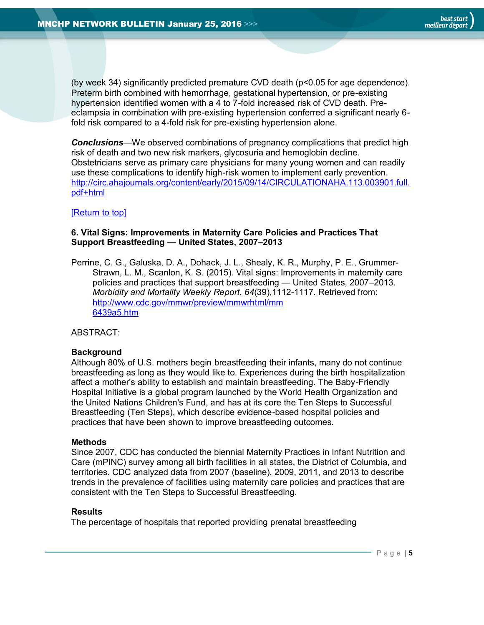best start meilleur départ

(by week 34) significantly predicted premature CVD death (p<0.05 for age dependence). Preterm birth combined with hemorrhage, gestational hypertension, or pre-existing hypertension identified women with a 4 to 7-fold increased risk of CVD death. Preeclampsia in combination with pre-existing hypertension conferred a significant nearly 6 fold risk compared to a 4-fold risk for pre-existing hypertension alone.

*Conclusions*—We observed combinations of pregnancy complications that predict high risk of death and two new risk markers, glycosuria and hemoglobin decline. Obstetricians serve as primary care physicians for many young women and can readily use these complications to identify high-risk women to implement early prevention. [http://circ.ahajournals.org/content/early/2015/09/14/CIRCULATIONAHA.113.003901.full.](http://circ.ahajournals.org/content/early/2015/09/14/CIRCULATIONAHA.113.003901.full.pdf+html) [pdf+html](http://circ.ahajournals.org/content/early/2015/09/14/CIRCULATIONAHA.113.003901.full.pdf+html)

#### [\[Return to top\]](#page-0-0)

#### <span id="page-4-0"></span>**6. Vital Signs: Improvements in Maternity Care Policies and Practices That Support Breastfeeding — United States, 2007–2013**

Perrine, C. G., Galuska, D. A., Dohack, J. L., Shealy, K. R., Murphy, P. E., Grummer-Strawn, L. M., Scanlon, K. S. (2015). Vital signs: Improvements in maternity care policies and practices that support breastfeeding — United States, 2007–2013. *Morbidity and Mortality Weekly Report*, *64*(39),1112-1117. Retrieved from: [http://www.cdc.gov/mmwr/preview/mmwrhtml/mm](http://www.cdc.gov/mmwr/preview/mmwrhtml/mm6439a5.htm) [6439a5.htm](http://www.cdc.gov/mmwr/preview/mmwrhtml/mm6439a5.htm)

ABSTRACT:

#### **Background**

Although 80% of U.S. mothers begin breastfeeding their infants, many do not continue breastfeeding as long as they would like to. Experiences during the birth hospitalization affect a mother's ability to establish and maintain breastfeeding. The Baby-Friendly Hospital Initiative is a global program launched by the World Health Organization and the United Nations Children's Fund, and has at its core the Ten Steps to Successful Breastfeeding (Ten Steps), which describe evidence-based hospital policies and practices that have been shown to improve breastfeeding outcomes.

#### **Methods**

Since 2007, CDC has conducted the biennial Maternity Practices in Infant Nutrition and Care (mPINC) survey among all birth facilities in all states, the District of Columbia, and territories. CDC analyzed data from 2007 (baseline), 2009, 2011, and 2013 to describe trends in the prevalence of facilities using maternity care policies and practices that are consistent with the Ten Steps to Successful Breastfeeding.

#### **Results**

The percentage of hospitals that reported providing prenatal breastfeeding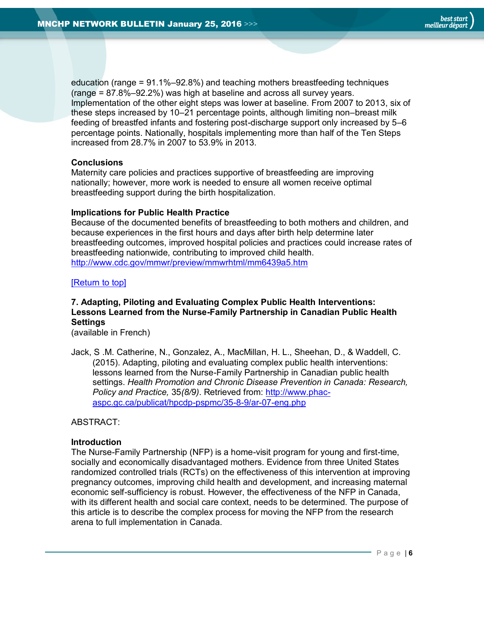education (range = 91.1%–92.8%) and teaching mothers breastfeeding techniques (range = 87.8%–92.2%) was high at baseline and across all survey years. Implementation of the other eight steps was lower at baseline. From 2007 to 2013, six of these steps increased by 10–21 percentage points, although limiting non–breast milk feeding of breastfed infants and fostering post-discharge support only increased by 5–6 percentage points. Nationally, hospitals implementing more than half of the Ten Steps increased from 28.7% in 2007 to 53.9% in 2013.

#### **Conclusions**

Maternity care policies and practices supportive of breastfeeding are improving nationally; however, more work is needed to ensure all women receive optimal breastfeeding support during the birth hospitalization.

#### **Implications for Public Health Practice**

Because of the documented benefits of breastfeeding to both mothers and children, and because experiences in the first hours and days after birth help determine later breastfeeding outcomes, improved hospital policies and practices could increase rates of breastfeeding nationwide, contributing to improved child health. <http://www.cdc.gov/mmwr/preview/mmwrhtml/mm6439a5.htm>

#### [\[Return to top\]](#page-0-0)

## <span id="page-5-0"></span>**7. Adapting, Piloting and Evaluating Complex Public Health Interventions: Lessons Learned from the Nurse-Family Partnership in Canadian Public Health Settings**

(available in French)

Jack, S .M. Catherine, N., Gonzalez, A., MacMillan, H. L., Sheehan, D., & Waddell, C. (2015). Adapting, piloting and evaluating complex public health interventions: lessons learned from the Nurse-Family Partnership in Canadian public health settings. *Health Promotion and Chronic Disease Prevention in Canada: Research, Policy and Practice,* 35*(8/9)*. Retrieved from: [http://www.phac](http://www.phac-aspc.gc.ca/publicat/hpcdp-pspmc/35-8-9/ar-07-eng.php)[aspc.gc.ca/publicat/hpcdp-pspmc/35-8-9/ar-07-eng.php](http://www.phac-aspc.gc.ca/publicat/hpcdp-pspmc/35-8-9/ar-07-eng.php)

ABSTRACT:

#### **Introduction**

The Nurse-Family Partnership (NFP) is a home-visit program for young and first-time, socially and economically disadvantaged mothers. Evidence from three United States randomized controlled trials (RCTs) on the effectiveness of this intervention at improving pregnancy outcomes, improving child health and development, and increasing maternal economic self-sufficiency is robust. However, the effectiveness of the NFP in Canada, with its different health and social care context, needs to be determined. The purpose of this article is to describe the complex process for moving the NFP from the research arena to full implementation in Canada.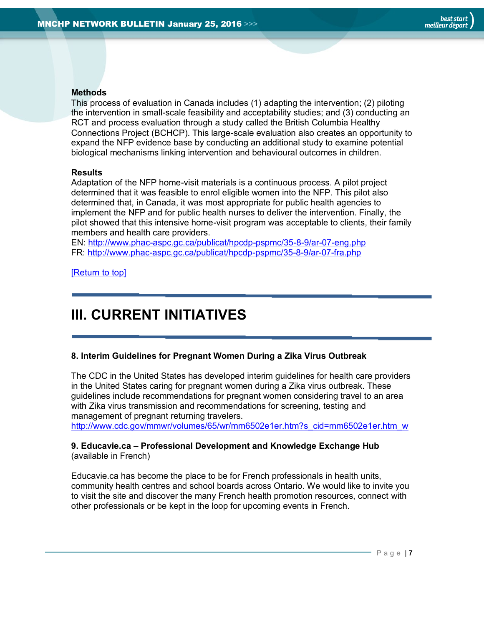#### **Methods**

This process of evaluation in Canada includes (1) adapting the intervention; (2) piloting the intervention in small-scale feasibility and acceptability studies; and (3) conducting an RCT and process evaluation through a study called the British Columbia Healthy Connections Project (BCHCP). This large-scale evaluation also creates an opportunity to expand the NFP evidence base by conducting an additional study to examine potential biological mechanisms linking intervention and behavioural outcomes in children.

#### **Results**

Adaptation of the NFP home-visit materials is a continuous process. A pilot project determined that it was feasible to enrol eligible women into the NFP. This pilot also determined that, in Canada, it was most appropriate for public health agencies to implement the NFP and for public health nurses to deliver the intervention. Finally, the pilot showed that this intensive home-visit program was acceptable to clients, their family members and health care providers.

EN:<http://www.phac-aspc.gc.ca/publicat/hpcdp-pspmc/35-8-9/ar-07-eng.php> FR:<http://www.phac-aspc.gc.ca/publicat/hpcdp-pspmc/35-8-9/ar-07-fra.php>

[\[Return to top\]](#page-0-0)

# <span id="page-6-0"></span>**III. CURRENT INITIATIVES**

# <span id="page-6-1"></span>**8. Interim Guidelines for Pregnant Women During a Zika Virus Outbreak**

The CDC in the United States has developed interim guidelines for health care providers in the United States caring for pregnant women during a Zika virus outbreak. These guidelines include recommendations for pregnant women considering travel to an area with Zika virus transmission and recommendations for screening, testing and management of pregnant returning travelers. http://www.cdc.gov/mmwr/volumes/65/wr/mm6502e1er.htm?s\_cid=mm6502e1er.htm\_w

# <span id="page-6-2"></span>**9. Educavie.ca – Professional Development and Knowledge Exchange Hub** (available in French)

Educavie.ca has become the place to be for French professionals in health units, community health centres and school boards across Ontario. We would like to invite you to visit the site and discover the many French health promotion resources, connect with other professionals or be kept in the loop for upcoming events in French.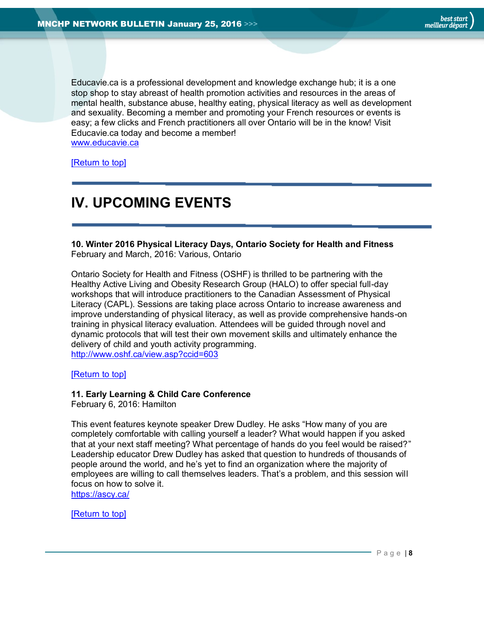Educavie.ca is a professional development and knowledge exchange hub; it is a one stop shop to stay abreast of health promotion activities and resources in the areas of mental health, substance abuse, healthy eating, physical literacy as well as development and sexuality. Becoming a member and promoting your French resources or events is easy; a few clicks and French practitioners all over Ontario will be in the know! Visit Educavie.ca today and become a member! [www.educavie.ca](http://www.educavie.ca/)

<span id="page-7-0"></span>[\[Return to top\]](#page-0-0)

# **IV. UPCOMING EVENTS**

<span id="page-7-1"></span>**10. Winter 2016 Physical Literacy Days, Ontario Society for Health and Fitness**  February and March, 2016: Various, Ontario

Ontario Society for Health and Fitness (OSHF) is thrilled to be partnering with the Healthy Active Living and Obesity Research Group (HALO) to offer special full-day workshops that will introduce practitioners to the Canadian Assessment of Physical Literacy (CAPL). Sessions are taking place across Ontario to increase awareness and improve understanding of physical literacy, as well as provide comprehensive hands-on training in physical literacy evaluation. Attendees will be guided through novel and dynamic protocols that will test their own movement skills and ultimately enhance the delivery of child and youth activity programming. <http://www.oshf.ca/view.asp?ccid=603>

[\[Return to top\]](#page-0-0)

#### <span id="page-7-2"></span>**11. Early Learning & Child Care Conference**

February 6, 2016: Hamilton

This event features keynote speaker Drew Dudley. He asks "How many of you are completely comfortable with calling yourself a leader? What would happen if you asked that at your next staff meeting? What percentage of hands do you feel would be raised?" Leadership educator Drew Dudley has asked that question to hundreds of thousands of people around the world, and he's yet to find an organization where the majority of employees are willing to call themselves leaders. That's a problem, and this session will focus on how to solve it.

<https://ascy.ca/>

[\[Return to top\]](#page-0-0)

P a g e | **8**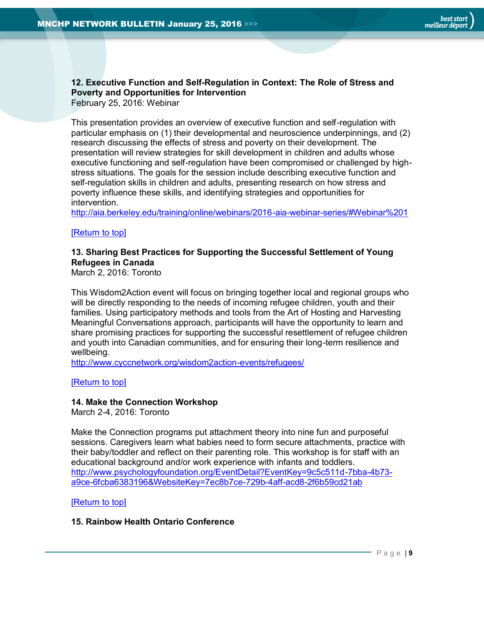# <span id="page-8-0"></span>**12. Executive Function and Self-Regulation in Context: The Role of Stress and Poverty and Opportunities for Intervention**

February 25, 2016: Webinar

This presentation provides an overview of executive function and self-regulation with particular emphasis on (1) their developmental and neuroscience underpinnings, and (2) research discussing the effects of stress and poverty on their development. The presentation will review strategies for skill development in children and adults whose executive functioning and self-regulation have been compromised or challenged by highstress situations. The goals for the session include describing executive function and self-regulation skills in children and adults, presenting research on how stress and poverty influence these skills, and identifying strategies and opportunities for intervention.

<http://aia.berkeley.edu/training/online/webinars/2016-aia-webinar-series/#Webinar%201>

#### [\[Return to top\]](#page-0-0)

# <span id="page-8-1"></span>**13. Sharing Best Practices for Supporting the Successful Settlement of Young Refugees in Canada**

March 2, 2016: Toronto

This Wisdom2Action event will focus on bringing together local and regional groups who will be directly responding to the needs of incoming refugee children, youth and their families. Using participatory methods and tools from the Art of Hosting and Harvesting Meaningful Conversations approach, participants will have the opportunity to learn and share promising practices for supporting the successful resettlement of refugee children and youth into Canadian communities, and for ensuring their long-term resilience and wellbeing.

<http://www.cyccnetwork.org/wisdom2action-events/refugees/>

[\[Return to top\]](#page-0-0)

#### <span id="page-8-2"></span>**14. Make the Connection Workshop**

March 2-4, 2016: Toronto

Make the Connection programs put attachment theory into nine fun and purposeful sessions. Caregivers learn what babies need to form secure attachments, practice with their baby/toddler and reflect on their parenting role. This workshop is for staff with an educational background and/or work experience with infants and toddlers. [http://www.psychologyfoundation.org/EventDetail?EventKey=9c5c511d-7bba-4b73](http://www.psychologyfoundation.org/EventDetail?EventKey=9c5c511d-7bba-4b73-a9ce-6fcba6383196&WebsiteKey=7ec8b7ce-729b-4aff-acd8-2f6b59cd21ab) [a9ce-6fcba6383196&WebsiteKey=7ec8b7ce-729b-4aff-acd8-2f6b59cd21ab](http://www.psychologyfoundation.org/EventDetail?EventKey=9c5c511d-7bba-4b73-a9ce-6fcba6383196&WebsiteKey=7ec8b7ce-729b-4aff-acd8-2f6b59cd21ab)

[\[Return to top\]](#page-0-0)

#### <span id="page-8-3"></span>**15. Rainbow Health Ontario Conference**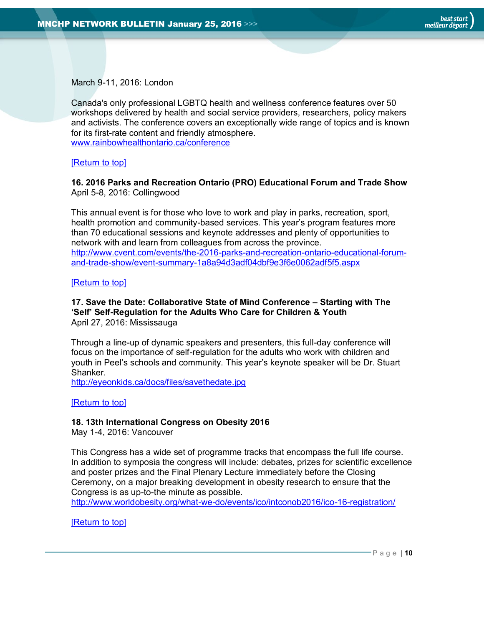

March 9-11, 2016: London

Canada's only professional LGBTQ health and wellness conference features over 50 workshops delivered by health and social service providers, researchers, policy makers and activists. The conference covers an exceptionally wide range of topics and is known for its first-rate content and friendly atmosphere. [www.rainbowhealthontario.ca/conference](http://www.rainbowhealthontario.ca/conference)

[\[Return to top\]](#page-0-0)

# <span id="page-9-0"></span>**16. 2016 Parks and Recreation Ontario (PRO) Educational Forum and Trade Show** April 5-8, 2016: Collingwood

This annual event is for those who love to work and play in parks, recreation, sport, health promotion and community-based services. This year's program features more than 70 educational sessions and keynote addresses and plenty of opportunities to network with and learn from colleagues from across the province. [http://www.cvent.com/events/the-2016-parks-and-recreation-ontario-educational-forum](http://www.cvent.com/events/the-2016-parks-and-recreation-ontario-educational-forum-and-trade-show/event-summary-1a8a94d3adf04dbf9e3f6e0062adf5f5.aspx)[and-trade-show/event-summary-1a8a94d3adf04dbf9e3f6e0062adf5f5.aspx](http://www.cvent.com/events/the-2016-parks-and-recreation-ontario-educational-forum-and-trade-show/event-summary-1a8a94d3adf04dbf9e3f6e0062adf5f5.aspx)

#### [\[Return to top\]](#page-0-0)

#### <span id="page-9-1"></span>**17. Save the Date: Collaborative State of Mind Conference – Starting with The 'Self' Self-Regulation for the Adults Who Care for Children & Youth** April 27, 2016: Mississauga

Through a line-up of dynamic speakers and presenters, this full-day conference will focus on the importance of self-regulation for the adults who work with children and youth in Peel's schools and community. This year's keynote speaker will be Dr. Stuart Shanker.

<http://eyeonkids.ca/docs/files/savethedate.jpg>

[\[Return to top\]](#page-0-0)

#### <span id="page-9-2"></span>**18. 13th International Congress on Obesity 2016**

May 1-4, 2016: Vancouver

This Congress has a wide set of programme tracks that encompass the full life course. In addition to symposia the congress will include: debates, prizes for scientific excellence and poster prizes and the Final Plenary Lecture immediately before the Closing Ceremony, on a major breaking development in obesity research to ensure that the Congress is as up-to-the minute as possible.

<http://www.worldobesity.org/what-we-do/events/ico/intconob2016/ico-16-registration/>

[\[Return to top\]](#page-0-0)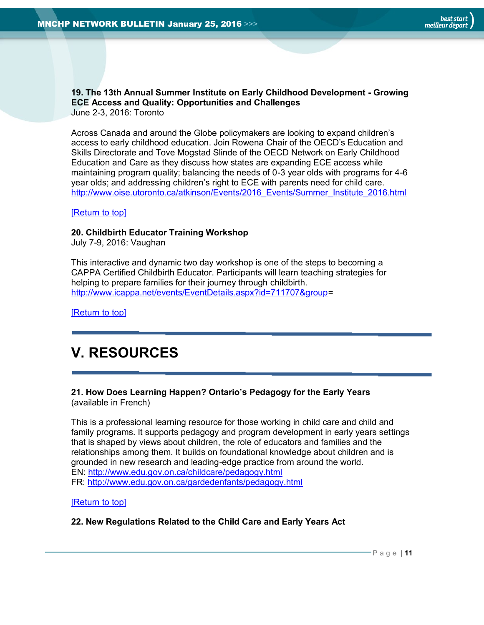<span id="page-10-0"></span>**19. The 13th Annual Summer Institute on Early Childhood Development - Growing ECE Access and Quality: Opportunities and Challenges** June 2-3, 2016: Toronto

Across Canada and around the Globe policymakers are looking to expand children's access to early childhood education. Join Rowena Chair of the OECD's Education and Skills Directorate and Tove Mogstad Slinde of the OECD Network on Early Childhood Education and Care as they discuss how states are expanding ECE access while maintaining program quality; balancing the needs of 0-3 year olds with programs for 4-6 year olds; and addressing children's right to ECE with parents need for child care. [http://www.oise.utoronto.ca/atkinson/Events/2016\\_Events/Summer\\_Institute\\_2016.html](http://www.oise.utoronto.ca/atkinson/Events/2016_Events/Summer_Institute_2016.html)

#### [\[Return to top\]](#page-0-0)

# <span id="page-10-1"></span>**20. Childbirth Educator Training Workshop**

July 7-9, 2016: Vaughan

This interactive and dynamic two day workshop is one of the steps to becoming a CAPPA Certified Childbirth Educator. Participants will learn teaching strategies for helping to prepare families for their journey through childbirth. [http://www.icappa.net/events/EventDetails.aspx?id=711707&group=](http://www.icappa.net/events/EventDetails.aspx?id=711707&group)

[\[Return to top\]](#page-0-0)

# <span id="page-10-2"></span>**V. RESOURCES**

#### <span id="page-10-3"></span>**21. How Does Learning Happen? Ontario's Pedagogy for the Early Years**  (available in French)

This is a professional learning resource for those working in child care and child and family programs. It supports pedagogy and program development in early years settings that is shaped by views about children, the role of educators and families and the relationships among them. It builds on foundational knowledge about children and is grounded in new research and leading-edge practice from around the world. EN:<http://www.edu.gov.on.ca/childcare/pedagogy.html> FR:<http://www.edu.gov.on.ca/gardedenfants/pedagogy.html>

#### [\[Return to top\]](#page-0-0)

#### <span id="page-10-4"></span>**22. New Regulations Related to the Child Care and Early Years Act**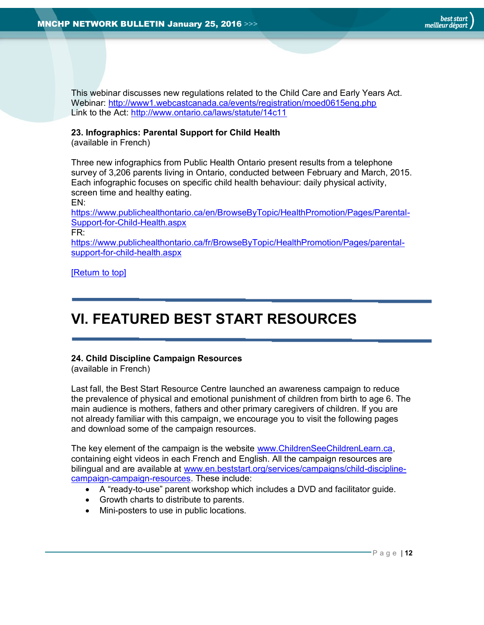This webinar discusses new regulations related to the Child Care and Early Years Act. Webinar:<http://www1.webcastcanada.ca/events/registration/moed0615eng.php> Link to the Act:<http://www.ontario.ca/laws/statute/14c11>

## <span id="page-11-0"></span>**23. Infographics: Parental Support for Child Health**

(available in French)

Three new infographics from Public Health Ontario present results from a telephone survey of 3,206 parents living in Ontario, conducted between February and March, 2015. Each infographic focuses on specific child health behaviour: daily physical activity, screen time and healthy eating.

EN:

[https://www.publichealthontario.ca/en/BrowseByTopic/HealthPromotion/Pages/Parental-](https://www.publichealthontario.ca/en/BrowseByTopic/HealthPromotion/Pages/Parental-Support-for-Child-Health.aspx)[Support-for-Child-Health.aspx](https://www.publichealthontario.ca/en/BrowseByTopic/HealthPromotion/Pages/Parental-Support-for-Child-Health.aspx)

FR:

[https://www.publichealthontario.ca/fr/BrowseByTopic/HealthPromotion/Pages/parental](https://www.publichealthontario.ca/fr/BrowseByTopic/HealthPromotion/Pages/parental-support-for-child-health.aspx)[support-for-child-health.aspx](https://www.publichealthontario.ca/fr/BrowseByTopic/HealthPromotion/Pages/parental-support-for-child-health.aspx)

[\[Return to top\]](#page-0-0)

# <span id="page-11-1"></span>**VI. FEATURED BEST START RESOURCES**

#### <span id="page-11-2"></span>**24. Child Discipline Campaign Resources**

(available in French)

Last fall, the Best Start Resource Centre launched an awareness campaign to reduce the prevalence of physical and emotional punishment of children from birth to age 6. The main audience is mothers, fathers and other primary caregivers of children. If you are not already familiar with this campaign, we encourage you to visit the following pages and download some of the campaign resources.

The key element of the campaign is the website [www.ChildrenSeeChildrenLearn.ca,](http://www.childrenseechildrenlearn.ca/) containing eight videos in each French and English. All the campaign resources are bilingual and are available at [www.en.beststart.org/services/campaigns/child-discipline](http://www.en.beststart.org/services/campaigns/child-discipline-campaign-campaign-resources)[campaign-campaign-resources.](http://www.en.beststart.org/services/campaigns/child-discipline-campaign-campaign-resources) These include:

- A "ready-to-use" parent workshop which includes a DVD and facilitator guide.
- Growth charts to distribute to parents.
- Mini-posters to use in public locations.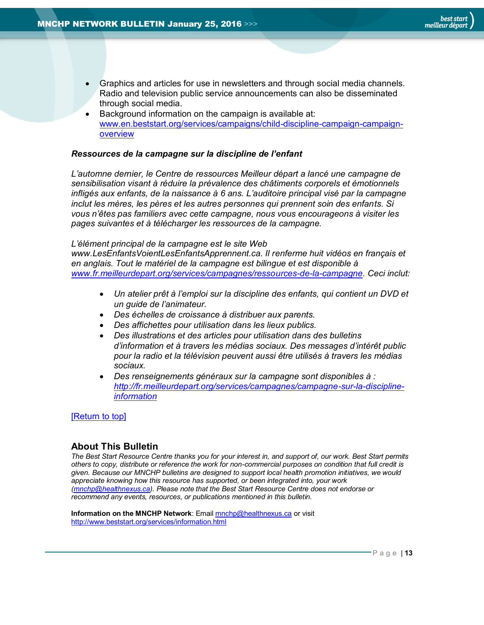- Graphics and articles for use in newsletters and through social media channels. Radio and television public service announcements can also be disseminated through social media.
- Background information on the campaign is available at: [www.en.beststart.org/services/campaigns/child-discipline-campaign-campaign](http://www.en.beststart.org/services/campaigns/child-discipline-campaign-campaign-overview)[overview](http://www.en.beststart.org/services/campaigns/child-discipline-campaign-campaign-overview)

#### *Ressources de la campagne sur la discipline de l'enfant*

*L'automne dernier, le Centre de ressources Meilleur départ a lancé une campagne de sensibilisation visant à réduire la prévalence des châtiments corporels et émotionnels infligés aux enfants, de la naissance à 6 ans. L'auditoire principal visé par la campagne inclut les mères, les pères et les autres personnes qui prennent soin des enfants. Si vous n'êtes pas familiers avec cette campagne, nous vous encourageons à visiter les pages suivantes et à télécharger les ressources de la campagne.*

#### *L'élément principal de la campagne est le site Web*

*www.LesEnfantsVoientLesEnfantsApprennent.ca. Il renferme huit vidéos en français et en anglais. Tout le matériel de la campagne est bilingue et est disponible à [www.fr.meilleurdepart.org/services/campagnes/ressources-de-la-campagne.](http://www.fr.meilleurdepart.org/services/campagnes/ressources-de-la-campagne) Ceci inclut:*

- *Un atelier prêt à l'emploi sur la discipline des enfants, qui contient un DVD et un guide de l'animateur.*
- *Des échelles de croissance à distribuer aux parents.*
- *Des affichettes pour utilisation dans les lieux publics.*
- *Des illustrations et des articles pour utilisation dans des bulletins d'information et à travers les médias sociaux. Des messages d'intérêt public pour la radio et la télévision peuvent aussi être utilisés à travers les médias sociaux.*
- *Des renseignements généraux sur la campagne sont disponibles à : [http://fr.meilleurdepart.org/services/campagnes/campagne-sur-la-discipline](http://fr.meilleurdepart.org/services/campagnes/campagne-sur-la-discipline-information)[information](http://fr.meilleurdepart.org/services/campagnes/campagne-sur-la-discipline-information)*

#### [\[Return to top\]](#page-0-0)

# <span id="page-12-0"></span>**About This Bulletin**

*The Best Start Resource Centre thanks you for your interest in, and support of, our work. Best Start permits others to copy, distribute or reference the work for non-commercial purposes on condition that full credit is given. Because our MNCHP bulletins are designed to support local health promotion initiatives, we would appreciate knowing how this resource has supported, or been integrated into, your work [\(mnchp@healthnexus.ca\)](mailto:mnchp@healthnexus.ca). Please note that the Best Start Resource Centre does not endorse or recommend any events, resources, or publications mentioned in this bulletin.* 

**Information on the MNCHP Network:** Emai[l mnchp@healthnexus.ca](mailto:mnchp@healthnexus.ca) or visit <http://www.beststart.org/services/information.html>